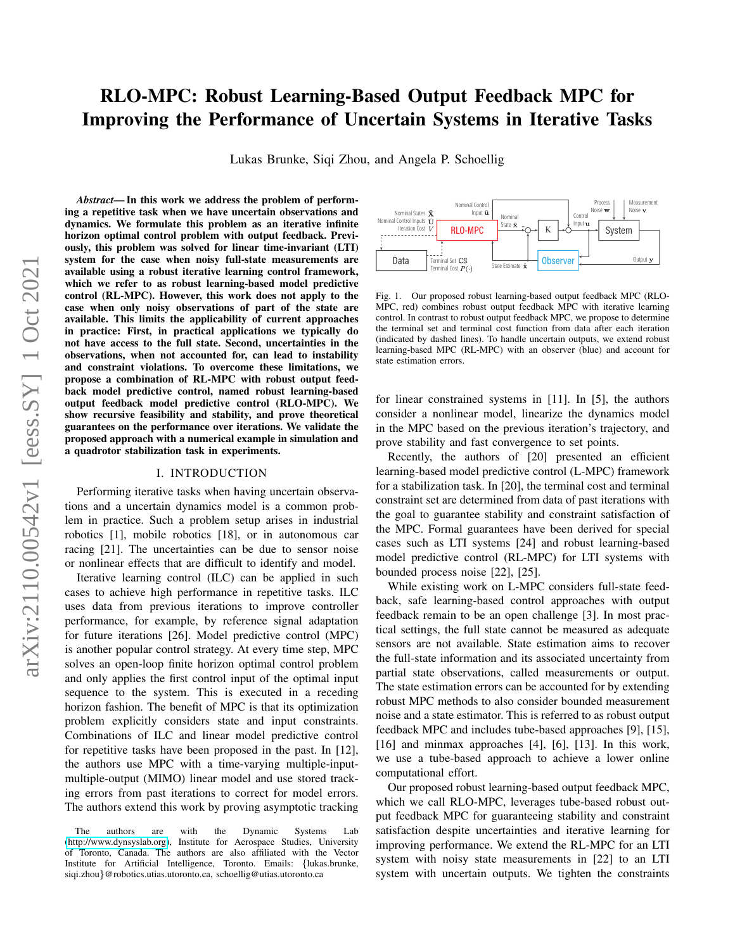# RLO-MPC: Robust Learning-Based Output Feedback MPC for Improving the Performance of Uncertain Systems in Iterative Tasks

Lukas Brunke, Siqi Zhou, and Angela P. Schoellig

arXiv:2110.00542v1 [eess.SY] 1 Oct 2021 arXiv:2110.00542v1 [eess.SY] 1 Oct 2021

*Abstract*— In this work we address the problem of performing a repetitive task when we have uncertain observations and dynamics. We formulate this problem as an iterative infinite horizon optimal control problem with output feedback. Previously, this problem was solved for linear time-invariant (LTI) system for the case when noisy full-state measurements are available using a robust iterative learning control framework, which we refer to as robust learning-based model predictive control (RL-MPC). However, this work does not apply to the case when only noisy observations of part of the state are available. This limits the applicability of current approaches in practice: First, in practical applications we typically do not have access to the full state. Second, uncertainties in the observations, when not accounted for, can lead to instability and constraint violations. To overcome these limitations, we propose a combination of RL-MPC with robust output feedback model predictive control, named robust learning-based output feedback model predictive control (RLO-MPC). We show recursive feasibility and stability, and prove theoretical guarantees on the performance over iterations. We validate the proposed approach with a numerical example in simulation and a quadrotor stabilization task in experiments.

#### I. INTRODUCTION

Performing iterative tasks when having uncertain observations and a uncertain dynamics model is a common problem in practice. Such a problem setup arises in industrial robotics [1], mobile robotics [18], or in autonomous car racing [21]. The uncertainties can be due to sensor noise or nonlinear effects that are difficult to identify and model.

Iterative learning control (ILC) can be applied in such cases to achieve high performance in repetitive tasks. ILC uses data from previous iterations to improve controller performance, for example, by reference signal adaptation for future iterations [26]. Model predictive control (MPC) is another popular control strategy. At every time step, MPC solves an open-loop finite horizon optimal control problem and only applies the first control input of the optimal input sequence to the system. This is executed in a receding horizon fashion. The benefit of MPC is that its optimization problem explicitly considers state and input constraints. Combinations of ILC and linear model predictive control for repetitive tasks have been proposed in the past. In [12], the authors use MPC with a time-varying multiple-inputmultiple-output (MIMO) linear model and use stored tracking errors from past iterations to correct for model errors. The authors extend this work by proving asymptotic tracking



<span id="page-0-0"></span>Fig. 1. Our proposed robust learning-based output feedback MPC (RLO-MPC, red) combines robust output feedback MPC with iterative learning control. In contrast to robust output feedback MPC, we propose to determine the terminal set and terminal cost function from data after each iteration (indicated by dashed lines). To handle uncertain outputs, we extend robust learning-based MPC (RL-MPC) with an observer (blue) and account for state estimation errors.

for linear constrained systems in [11]. In [5], the authors consider a nonlinear model, linearize the dynamics model in the MPC based on the previous iteration's trajectory, and prove stability and fast convergence to set points.

Recently, the authors of [20] presented an efficient learning-based model predictive control (L-MPC) framework for a stabilization task. In [20], the terminal cost and terminal constraint set are determined from data of past iterations with the goal to guarantee stability and constraint satisfaction of the MPC. Formal guarantees have been derived for special cases such as LTI systems [24] and robust learning-based model predictive control (RL-MPC) for LTI systems with bounded process noise [22], [25].

While existing work on L-MPC considers full-state feedback, safe learning-based control approaches with output feedback remain to be an open challenge [3]. In most practical settings, the full state cannot be measured as adequate sensors are not available. State estimation aims to recover the full-state information and its associated uncertainty from partial state observations, called measurements or output. The state estimation errors can be accounted for by extending robust MPC methods to also consider bounded measurement noise and a state estimator. This is referred to as robust output feedback MPC and includes tube-based approaches [9], [15], [16] and minmax approaches [4], [6], [13]. In this work, we use a tube-based approach to achieve a lower online computational effort.

Our proposed robust learning-based output feedback MPC, which we call RLO-MPC, leverages tube-based robust output feedback MPC for guaranteeing stability and constraint satisfaction despite uncertainties and iterative learning for improving performance. We extend the RL-MPC for an LTI system with noisy state measurements in [22] to an LTI system with uncertain outputs. We tighten the constraints

The authors are with the Dynamic Systems Lab [\(http://www.dynsyslab.org\)](http://www.dynsyslab.org), Institute for Aerospace Studies, University of Toronto, Canada. The authors are also affiliated with the Vector Institute for Artificial Intelligence, Toronto. Emails: {lukas.brunke, siqi.zhou}@robotics.utias.utoronto.ca, schoellig@utias.utoronto.ca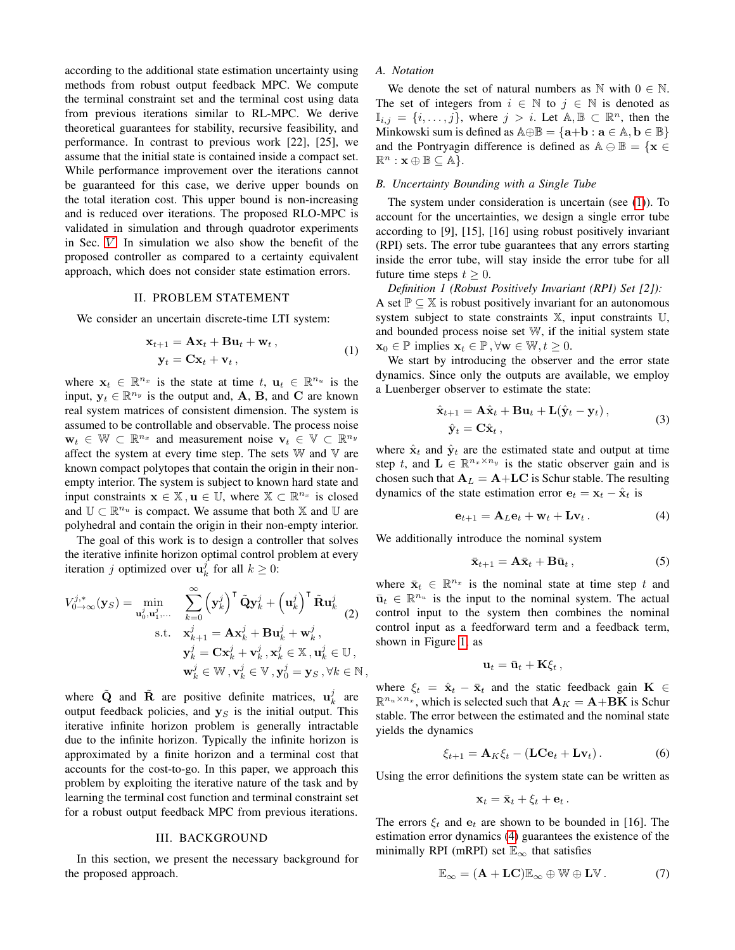according to the additional state estimation uncertainty using methods from robust output feedback MPC. We compute the terminal constraint set and the terminal cost using data from previous iterations similar to RL-MPC. We derive theoretical guarantees for stability, recursive feasibility, and performance. In contrast to previous work [22], [25], we assume that the initial state is contained inside a compact set. While performance improvement over the iterations cannot be guaranteed for this case, we derive upper bounds on the total iteration cost. This upper bound is non-increasing and is reduced over iterations. The proposed RLO-MPC is validated in simulation and through quadrotor experiments in Sec.  $V$ . In simulation we also show the benefit of the proposed controller as compared to a certainty equivalent approach, which does not consider state estimation errors.

## II. PROBLEM STATEMENT

We consider an uncertain discrete-time LTI system:

$$
\mathbf{x}_{t+1} = \mathbf{A}\mathbf{x}_t + \mathbf{B}\mathbf{u}_t + \mathbf{w}_t, \n\mathbf{y}_t = \mathbf{C}\mathbf{x}_t + \mathbf{v}_t,
$$
\n(1)

where  $\mathbf{x}_t \in \mathbb{R}^{n_x}$  is the state at time  $t, \mathbf{u}_t \in \mathbb{R}^{n_u}$  is the input,  $y_t \in \mathbb{R}^{n_y}$  is the output and, A, B, and C are known real system matrices of consistent dimension. The system is assumed to be controllable and observable. The process noise  $\mathbf{w}_t \in \mathbb{W} \subset \mathbb{R}^{n_x}$  and measurement noise  $\mathbf{v}_t \in \mathbb{V} \subset \mathbb{R}^{n_y}$ affect the system at every time step. The sets  $W$  and  $V$  are known compact polytopes that contain the origin in their nonempty interior. The system is subject to known hard state and input constraints  $\mathbf{x} \in \mathbb{X}, \mathbf{u} \in \mathbb{U}$ , where  $\mathbb{X} \subset \mathbb{R}^{n_x}$  is closed and  $\mathbb{U} \subset \mathbb{R}^{n_u}$  is compact. We assume that both  $\mathbb{X}$  and  $\mathbb{U}$  are polyhedral and contain the origin in their non-empty interior.

The goal of this work is to design a controller that solves the iterative infinite horizon optimal control problem at every iteration *j* optimized over  $\mathbf{u}_k^j$  for all  $k \geq 0$ :

$$
V_{0\to\infty}^{j,*}(\mathbf{y}_S) = \min_{\mathbf{u}_0^j, \mathbf{u}_1^j, \dots} \sum_{k=0}^{\infty} (\mathbf{y}_k^j)^\mathsf{T} \tilde{\mathbf{Q}} \mathbf{y}_k^j + (\mathbf{u}_k^j)^\mathsf{T} \tilde{\mathbf{R}} \mathbf{u}_k^j
$$
  
s.t. 
$$
\mathbf{x}_{k+1}^j = \mathbf{A} \mathbf{x}_k^j + \mathbf{B} \mathbf{u}_k^j + \mathbf{w}_k^j,
$$

$$
\mathbf{y}_k^j = \mathbf{C} \mathbf{x}_k^j + \mathbf{v}_k^j, \mathbf{x}_k^j \in \mathbb{X}, \mathbf{u}_k^j \in \mathbb{U},
$$

$$
\mathbf{w}_k^j \in \mathbb{W}, \mathbf{v}_k^j \in \mathbb{V}, \mathbf{y}_0^j = \mathbf{y}_S, \forall k \in \mathbb{N},
$$

where  $\tilde{Q}$  and  $\tilde{R}$  are positive definite matrices,  $\mathbf{u}_k^j$  are output feedback policies, and  $y_S$  is the initial output. This iterative infinite horizon problem is generally intractable due to the infinite horizon. Typically the infinite horizon is approximated by a finite horizon and a terminal cost that accounts for the cost-to-go. In this paper, we approach this problem by exploiting the iterative nature of the task and by learning the terminal cost function and terminal constraint set for a robust output feedback MPC from previous iterations.

## III. BACKGROUND

In this section, we present the necessary background for the proposed approach.

# *A. Notation*

We denote the set of natural numbers as  $\mathbb N$  with  $0 \in \mathbb N$ . The set of integers from  $i \in \mathbb{N}$  to  $j \in \mathbb{N}$  is denoted as  $\mathbb{I}_{i,j} = \{i, \ldots, j\}$ , where  $j > i$ . Let  $\mathbb{A}, \mathbb{B} \subset \mathbb{R}^n$ , then the Minkowski sum is defined as  $\mathbb{A} \oplus \mathbb{B} = {\mathbf{a} + \mathbf{b} : \mathbf{a} \in \mathbb{A}, \mathbf{b} \in \mathbb{B}}$ and the Pontryagin difference is defined as  $A \oplus \mathbb{B} = \{x \in$  $\mathbb{R}^n : \mathbf{x} \oplus \mathbb{B} \subseteq \mathbb{A}$ .

## *B. Uncertainty Bounding with a Single Tube*

The system under consideration is uncertain (see [\(1\)](#page-1-0)). To account for the uncertainties, we design a single error tube according to [9], [15], [16] using robust positively invariant (RPI) sets. The error tube guarantees that any errors starting inside the error tube, will stay inside the error tube for all future time steps  $t > 0$ .

*Definition 1 (Robust Positively Invariant (RPI) Set [2]):* A set  $\mathbb{P} \subseteq \mathbb{X}$  is robust positively invariant for an autonomous system subject to state constraints  $X$ , input constraints  $U$ , and bounded process noise set W, if the initial system state  $\mathbf{x}_0 \in \mathbb{P}$  implies  $\mathbf{x}_t \in \mathbb{P}, \forall \mathbf{w} \in \mathbb{W}, t \geq 0$ .

<span id="page-1-0"></span>We start by introducing the observer and the error state dynamics. Since only the outputs are available, we employ a Luenberger observer to estimate the state:

<span id="page-1-6"></span>
$$
\hat{\mathbf{x}}_{t+1} = \mathbf{A}\hat{\mathbf{x}}_t + \mathbf{B}\mathbf{u}_t + \mathbf{L}(\hat{\mathbf{y}}_t - \mathbf{y}_t),
$$
  
\n
$$
\hat{\mathbf{y}}_t = \mathbf{C}\hat{\mathbf{x}}_t,
$$
\n(3)

where  $\hat{\mathbf{x}}_t$  and  $\hat{\mathbf{y}}_t$  are the estimated state and output at time step t, and  $\mathbf{L} \in \mathbb{R}^{n_x \times n_y}$  is the static observer gain and is chosen such that  $A_L = A + LC$  is Schur stable. The resulting dynamics of the state estimation error  $e_t = x_t - \hat{x}_t$  is

<span id="page-1-1"></span>
$$
\mathbf{e}_{t+1} = \mathbf{A}_L \mathbf{e}_t + \mathbf{w}_t + \mathbf{L} \mathbf{v}_t. \tag{4}
$$

We additionally introduce the nominal system

<span id="page-1-4"></span>
$$
\bar{\mathbf{x}}_{t+1} = \mathbf{A}\bar{\mathbf{x}}_t + \mathbf{B}\bar{\mathbf{u}}_t, \tag{5}
$$

<span id="page-1-5"></span>where  $\bar{\mathbf{x}}_t \in \mathbb{R}^{n_x}$  is the nominal state at time step t and  $\bar{u}_t \in \mathbb{R}^{n_u}$  is the input to the nominal system. The actual control input to the system then combines the nominal control input as a feedforward term and a feedback term, shown in Figure [1,](#page-0-0) as

$$
\mathbf{u}_t = \bar{\mathbf{u}}_t + \mathbf{K}\xi_t\,,
$$

where  $\xi_t = \hat{\mathbf{x}}_t - \bar{\mathbf{x}}_t$  and the static feedback gain  $\mathbf{K} \in$  $\mathbb{R}^{n_u \times n_x}$ , which is selected such that  $\mathbf{A}_K = \mathbf{A} + \mathbf{B}\mathbf{K}$  is Schur stable. The error between the estimated and the nominal state yields the dynamics

<span id="page-1-2"></span>
$$
\xi_{t+1} = \mathbf{A}_K \xi_t - (\mathbf{L} \mathbf{C} \mathbf{e}_t + \mathbf{L} \mathbf{v}_t). \tag{6}
$$

Using the error definitions the system state can be written as

$$
\mathbf{x}_t = \bar{\mathbf{x}}_t + \xi_t + \mathbf{e}_t.
$$

The errors  $\xi_t$  and  $e_t$  are shown to be bounded in [16]. The estimation error dynamics [\(4\)](#page-1-1) guarantees the existence of the minimally RPI (mRPI) set  $\mathbb{E}_{\infty}$  that satisfies

<span id="page-1-3"></span>
$$
\mathbb{E}_{\infty} = (\mathbf{A} + \mathbf{L}\mathbf{C})\mathbb{E}_{\infty} \oplus \mathbb{W} \oplus \mathbf{L}\mathbb{V}.
$$
 (7)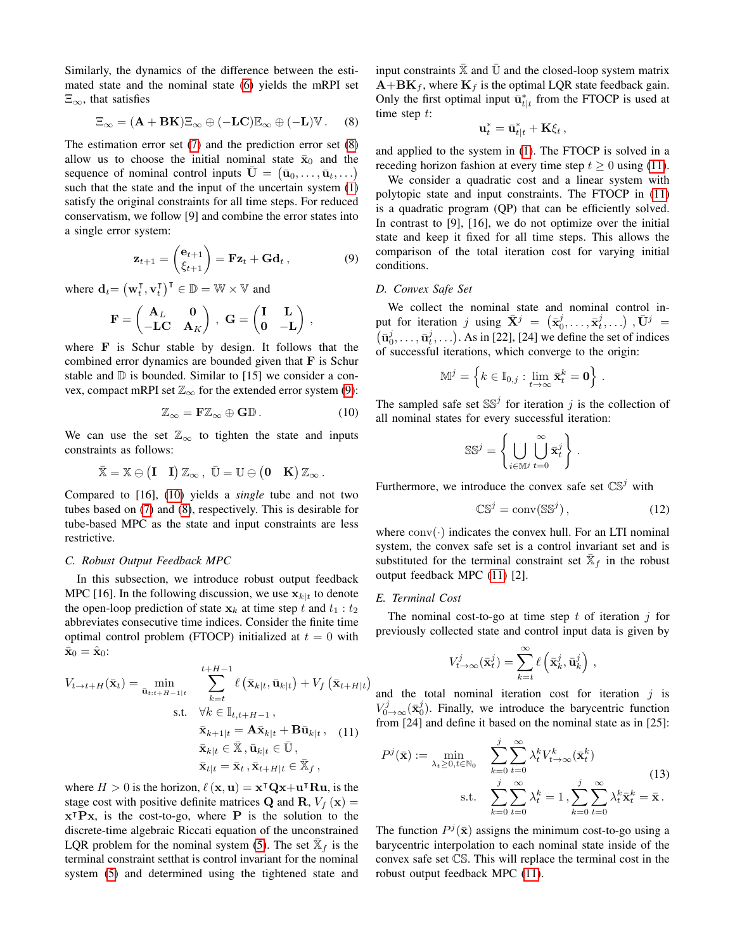Similarly, the dynamics of the difference between the estimated state and the nominal state [\(6\)](#page-1-2) yields the mRPI set  $\Xi_{\infty}$ , that satisfies

<span id="page-2-0"></span>
$$
\Xi_{\infty} = (\mathbf{A} + \mathbf{B} \mathbf{K}) \Xi_{\infty} \oplus (-\mathbf{L} \mathbf{C}) \mathbb{E}_{\infty} \oplus (-\mathbf{L}) \mathbb{V}. \tag{8}
$$

The estimation error set [\(7\)](#page-1-3) and the prediction error set [\(8\)](#page-2-0) allow us to choose the initial nominal state  $\bar{x}_0$  and the sequence of nominal control inputs  $\bar{\mathbf{U}} = (\bar{\mathbf{u}}_0, \dots, \bar{\mathbf{u}}_t, \dots)$ such that the state and the input of the uncertain system  $(1)$ satisfy the original constraints for all time steps. For reduced conservatism, we follow [9] and combine the error states into a single error system:

<span id="page-2-1"></span>
$$
\mathbf{z}_{t+1} = \begin{pmatrix} \mathbf{e}_{t+1} \\ \xi_{t+1} \end{pmatrix} = \mathbf{Fz}_t + \mathbf{Gd}_t, \qquad (9)
$$

where  $\mathbf{d}_t = (\mathbf{w}_t^{\mathsf{T}})$  $_t^{\mathsf{T}}, \mathbf{v}_t^{\mathsf{T}}$  $_{t}^{\mathsf{T}}$ )<sup>T</sup>  $\in \mathbb{D} = \mathbb{W} \times \mathbb{V}$  and

$$
\mathbf{F} = \begin{pmatrix} \mathbf{A}_L & \mathbf{0} \\ -\mathbf{L}\mathbf{C} & \mathbf{A}_K \end{pmatrix} \,, \ \mathbf{G} = \begin{pmatrix} \mathbf{I} & \mathbf{L} \\ \mathbf{0} & -\mathbf{L} \end{pmatrix} \,,
$$

where F is Schur stable by design. It follows that the combined error dynamics are bounded given that F is Schur stable and  $D$  is bounded. Similar to [15] we consider a convex, compact mRPI set  $\mathbb{Z}_{\infty}$  for the extended error system [\(9\)](#page-2-1):

<span id="page-2-2"></span>
$$
\mathbb{Z}_{\infty} = \mathbf{F}\mathbb{Z}_{\infty} \oplus \mathbf{G}\mathbb{D}.
$$
 (10)

We can use the set  $\mathbb{Z}_{\infty}$  to tighten the state and inputs constraints as follows:

$$
\bar{\mathbb{X}}=\mathbb{X}\ominus \begin{pmatrix} I & I \end{pmatrix}\mathbb{Z}_\infty\,,\ \bar{\mathbb{U}}=\mathbb{U}\ominus \begin{pmatrix} 0 & K \end{pmatrix}\mathbb{Z}_\infty\,.
$$

Compared to [16], [\(10\)](#page-2-2) yields a *single* tube and not two tubes based on [\(7\)](#page-1-3) and [\(8\)](#page-2-0), respectively. This is desirable for tube-based MPC as the state and input constraints are less restrictive.

## *C. Robust Output Feedback MPC*

In this subsection, we introduce robust output feedback MPC [16]. In the following discussion, we use  $x_{k|t}$  to denote the open-loop prediction of state  $x_k$  at time step t and  $t_1 : t_2$ abbreviates consecutive time indices. Consider the finite time optimal control problem (FTOCP) initialized at  $t = 0$  with  $\bar{\mathbf{x}}_0 = \hat{\mathbf{x}}_0$ :

$$
V_{t\to t+H}(\bar{\mathbf{x}}_t) = \min_{\substack{\bar{\mathbf{u}}_{t:t+H-1|t} \\ \bar{\mathbf{x}}_{k+1|t} = \mathbf{A}\bar{\mathbf{x}}_{k|t}, \bar{\mathbf{u}}_{k|t}}} \sum_{k=t}^{t+H-1} \ell(\bar{\mathbf{x}}_{k|t}, \bar{\mathbf{u}}_{k|t}) + V_f(\bar{\mathbf{x}}_{t+H|t} \\ \text{s.t.} \quad \forall k \in \mathbb{I}_{t,t+H-1}, \\ \bar{\mathbf{x}}_{k+1|t} = \mathbf{A}\bar{\mathbf{x}}_{k|t} + \mathbf{B}\bar{\mathbf{u}}_{k|t}, \quad (11) \\ \bar{\mathbf{x}}_{k|t} \in \bar{\mathbb{X}}, \bar{\mathbf{u}}_{k|t} \in \bar{\mathbb{U}}, \\ \bar{\mathbf{x}}_{t|t} = \bar{\mathbf{x}}_t, \bar{\mathbf{x}}_{t+H|t} \in \bar{\mathbb{X}}_f,
$$

where  $H > 0$  is the horizon,  $\ell(\mathbf{x}, \mathbf{u}) = \mathbf{x}^\top \mathbf{Q} \mathbf{x} + \mathbf{u}^\top \mathbf{R} \mathbf{u}$ , is the stage cost with positive definite matrices **Q** and **R**,  $V_f(\mathbf{x}) =$  $x^{\mathsf{T}}$ Px, is the cost-to-go, where P is the solution to the discrete-time algebraic Riccati equation of the unconstrained LQR problem for the nominal system [\(5\)](#page-1-4). The set  $\bar{\mathbb{X}}_f$  is the terminal constraint setthat is control invariant for the nominal system [\(5\)](#page-1-4) and determined using the tightened state and input constraints  $\bar{\mathbb{X}}$  and  $\bar{\mathbb{U}}$  and the closed-loop system matrix  $\mathbf{A} + \mathbf{B}\mathbf{K}_f$ , where  $\mathbf{K}_f$  is the optimal LQR state feedback gain. Only the first optimal input  $\bar{u}_{t|t}^*$  from the FTOCP is used at time step  $t$ :

$$
\mathbf{u}_t^* = \bar{\mathbf{u}}_{t|t}^* + \mathbf{K}\xi_t,
$$

and applied to the system in [\(1\)](#page-1-0). The FTOCP is solved in a receding horizon fashion at every time step  $t \geq 0$  using [\(11\)](#page-2-3).

We consider a quadratic cost and a linear system with polytopic state and input constraints. The FTOCP in [\(11\)](#page-2-3) is a quadratic program (QP) that can be efficiently solved. In contrast to [9], [16], we do not optimize over the initial state and keep it fixed for all time steps. This allows the comparison of the total iteration cost for varying initial conditions.

## *D. Convex Safe Set*

We collect the nominal state and nominal control input for iteration  $j$  using  $\bar{\mathbf{X}}^j = (\bar{\mathbf{x}}_0^j, \dots, \bar{\mathbf{x}}_t^j, \dots)$  ,  $\bar{\mathbf{U}}^j =$  $(\bar{\mathbf{u}}_0^j, \dots, \bar{\mathbf{u}}_t^j, \dots)$ . As in [22], [24] we define the set of indices of successful iterations, which converge to the origin:

$$
\mathbb{M}^j = \left\{ k \in \mathbb{I}_{0,j} : \lim_{t \to \infty} \bar{\mathbf{x}}_t^k = \mathbf{0} \right\} \, .
$$

The sampled safe set  $SS<sup>j</sup>$  for iteration j is the collection of all nominal states for every successful iteration:

$$
\mathbb{SS}^j = \left\{ \bigcup_{i \in \mathbb{M}^j} \bigcup_{t=0}^\infty \bar{\mathbf{x}}_t^j \right\}.
$$

Furthermore, we introduce the convex safe set  $\mathbb{CS}^j$  with

<span id="page-2-4"></span>
$$
\mathbb{CS}^j = \text{conv}(\mathbb{SS}^j),\tag{12}
$$

where  $conv(\cdot)$  indicates the convex hull. For an LTI nominal system, the convex safe set is a control invariant set and is substituted for the terminal constraint set  $\bar{\mathbb{X}}_f$  in the robust output feedback MPC [\(11\)](#page-2-3) [2].

### *E. Terminal Cost*

 $\big)$ 

The nominal cost-to-go at time step t of iteration  $i$  for previously collected state and control input data is given by

<span id="page-2-5"></span>
$$
V_{t\to\infty}^j(\bar{\mathbf{x}}_t^j) = \sum_{k=t}^{\infty} \ell\left(\bar{\mathbf{x}}_k^j, \bar{\mathbf{u}}_k^j\right),\,
$$

<span id="page-2-3"></span>and the total nominal iteration cost for iteration  $j$  is  $V^j_{0\to\infty}(\bar{\mathbf{x}}_0^j)$ . Finally, we introduce the barycentric function from [24] and define it based on the nominal state as in [25]:

$$
P^{j}(\bar{\mathbf{x}}) := \min_{\lambda_{t} \geq 0, t \in \mathbb{N}_{0}} \sum_{k=0}^{j} \sum_{t=0}^{\infty} \lambda_{t}^{k} V_{t \to \infty}^{k}(\bar{\mathbf{x}}_{t}^{k})
$$
  
s.t. 
$$
\sum_{k=0}^{j} \sum_{t=0}^{\infty} \lambda_{t}^{k} = 1, \sum_{k=0}^{j} \sum_{t=0}^{\infty} \lambda_{t}^{k} \bar{\mathbf{x}}_{t}^{k} = \bar{\mathbf{x}}.
$$
 (13)

The function  $P^j(\bar{x})$  assigns the minimum cost-to-go using a barycentric interpolation to each nominal state inside of the convex safe set CS. This will replace the terminal cost in the robust output feedback MPC [\(11\)](#page-2-3).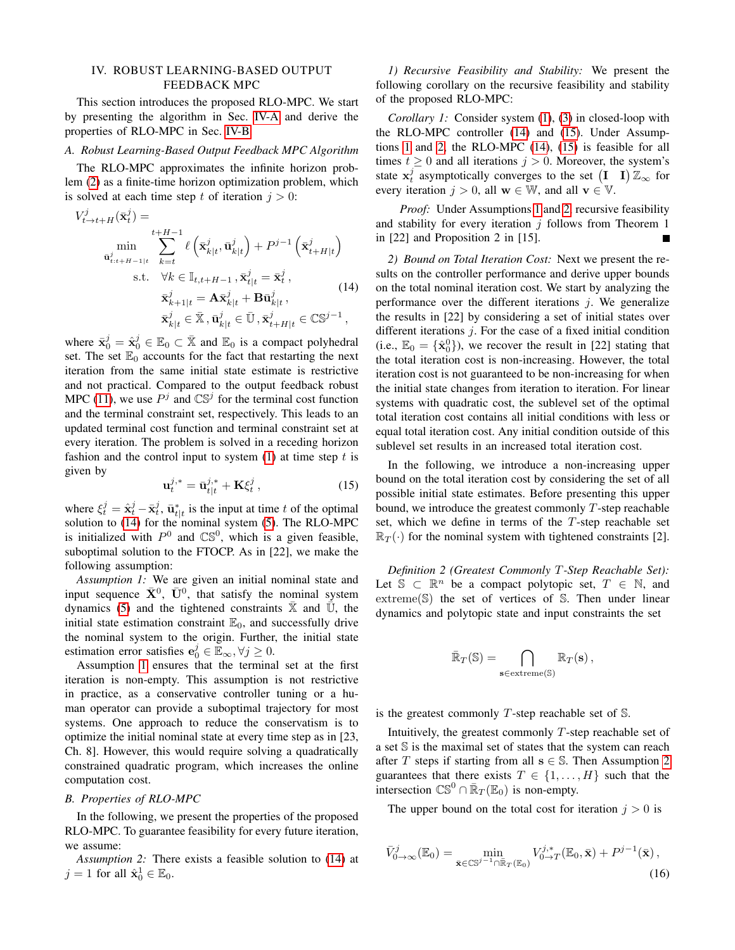# <span id="page-3-7"></span>IV. ROBUST LEARNING-BASED OUTPUT FEEDBACK MPC

This section introduces the proposed RLO-MPC. We start by presenting the algorithm in Sec. [IV-A](#page-3-0) and derive the properties of RLO-MPC in Sec. [IV-B.](#page-3-1)

## <span id="page-3-0"></span>*A. Robust Learning-Based Output Feedback MPC Algorithm*

The RLO-MPC approximates the infinite horizon problem [\(2\)](#page-1-5) as a finite-time horizon optimization problem, which is solved at each time step t of iteration  $j > 0$ :

$$
V_{t\to t+H}^{j}(\bar{\mathbf{x}}_{t}^{j}) = \min_{\substack{\mathbf{u}_{t:t+H-1|t}^{j} \\ \mathbf{u}_{t:t+H-1|t}^{j}}} \sum_{k=t}^{t+H-1} \ell\left(\bar{\mathbf{x}}_{k|t}^{j}, \bar{\mathbf{u}}_{k|t}^{j}\right) + P^{j-1}\left(\bar{\mathbf{x}}_{t+H|t}^{j}\right)
$$
\n
$$
\text{s.t.} \quad \forall k \in \mathbb{I}_{t,t+H-1}, \bar{\mathbf{x}}_{t|t}^{j} = \bar{\mathbf{x}}_{t}^{j},
$$
\n
$$
\bar{\mathbf{x}}_{k+1|t}^{j} = \mathbf{A}\bar{\mathbf{x}}_{k|t}^{j} + \mathbf{B}\bar{\mathbf{u}}_{k|t}^{j},
$$
\n
$$
\bar{\mathbf{x}}_{k|t}^{j} \in \bar{\mathbf{X}}, \bar{\mathbf{u}}_{k|t}^{j} \in \bar{\mathbf{U}}, \bar{\mathbf{x}}_{t+H|t}^{j} \in \mathbb{C}\mathbb{S}^{j-1},
$$
\n
$$
(14)
$$

where  $\bar{\mathbf{x}}_0^j = \hat{\mathbf{x}}_0^j \in \mathbb{E}_0 \subset \bar{\mathbb{X}}$  and  $\mathbb{E}_0$  is a compact polyhedral set. The set  $\mathbb{E}_0$  accounts for the fact that restarting the next iteration from the same initial state estimate is restrictive and not practical. Compared to the output feedback robust MPC [\(11\)](#page-2-3), we use  $P^j$  and  $\mathbb{CS}^j$  for the terminal cost function and the terminal constraint set, respectively. This leads to an updated terminal cost function and terminal constraint set at every iteration. The problem is solved in a receding horizon fashion and the control input to system  $(1)$  at time step t is given by

<span id="page-3-4"></span><span id="page-3-3"></span>
$$
\mathbf{u}_t^{j,*} = \bar{\mathbf{u}}_{t|t}^{j,*} + \mathbf{K}\xi_t^j , \qquad (15)
$$

where  $\xi_t^j = \hat{x}_t^j - \bar{x}_t^j$ ,  $\bar{u}_{t|t}^*$  is the input at time t of the optimal solution to [\(14\)](#page-3-2) for the nominal system [\(5\)](#page-1-4). The RLO-MPC is initialized with  $P^0$  and  $\mathbb{CS}^0$ , which is a given feasible, suboptimal solution to the FTOCP. As in [22], we make the following assumption:

*Assumption 1:* We are given an initial nominal state and input sequence  $\bar{X}^0$ ,  $\bar{U}^0$ , that satisfy the nominal system dynamics [\(5\)](#page-1-4) and the tightened constraints  $X$  and U, the initial state estimation constraint  $\mathbb{E}_0$ , and successfully drive the nominal system to the origin. Further, the initial state estimation error satisfies  $\mathbf{e}_0^j \in \mathbb{E}_{\infty}, \forall j \geq 0$ .

Assumption [1](#page-3-3) ensures that the terminal set at the first iteration is non-empty. This assumption is not restrictive in practice, as a conservative controller tuning or a human operator can provide a suboptimal trajectory for most systems. One approach to reduce the conservatism is to optimize the initial nominal state at every time step as in [23, Ch. 8]. However, this would require solving a quadratically constrained quadratic program, which increases the online computation cost.

## <span id="page-3-1"></span>*B. Properties of RLO-MPC*

In the following, we present the properties of the proposed RLO-MPC. To guarantee feasibility for every future iteration, we assume:

<span id="page-3-5"></span>*Assumption 2:* There exists a feasible solution to [\(14\)](#page-3-2) at  $j = 1$  for all  $\hat{\mathbf{x}}_0^1 \in \mathbb{E}_0$ .

*1) Recursive Feasibility and Stability:* We present the following corollary on the recursive feasibility and stability of the proposed RLO-MPC:

*Corollary 1:* Consider system [\(1\)](#page-1-0), [\(3\)](#page-1-6) in closed-loop with the RLO-MPC controller [\(14\)](#page-3-2) and [\(15\)](#page-3-4). Under Assumptions [1](#page-3-3) and [2,](#page-3-5) the RLO-MPC [\(14\)](#page-3-2), [\(15\)](#page-3-4) is feasible for all times  $t \geq 0$  and all iterations  $j > 0$ . Moreover, the system's state  $x_t^j$  asymptotically converges to the set  $(I \ I) \mathbb{Z}_{\infty}$  for every iteration  $j > 0$ , all  $\mathbf{w} \in \mathbb{W}$ , and all  $\mathbf{v} \in \mathbb{V}$ .

*Proof:* Under Assumptions [1](#page-3-3) and [2,](#page-3-5) recursive feasibility and stability for every iteration  $j$  follows from Theorem 1 in [22] and Proposition 2 in [15].

<span id="page-3-2"></span>*2) Bound on Total Iteration Cost:* Next we present the results on the controller performance and derive upper bounds on the total nominal iteration cost. We start by analyzing the performance over the different iterations  $j$ . We generalize the results in [22] by considering a set of initial states over different iterations  $j$ . For the case of a fixed initial condition (i.e.,  $\mathbb{E}_0 = {\hat{\mathbf{x}}_0^0}$ ), we recover the result in [22] stating that the total iteration cost is non-increasing. However, the total iteration cost is not guaranteed to be non-increasing for when the initial state changes from iteration to iteration. For linear systems with quadratic cost, the sublevel set of the optimal total iteration cost contains all initial conditions with less or equal total iteration cost. Any initial condition outside of this sublevel set results in an increased total iteration cost.

In the following, we introduce a non-increasing upper bound on the total iteration cost by considering the set of all possible initial state estimates. Before presenting this upper bound, we introduce the greatest commonly  $T$ -step reachable set, which we define in terms of the T-step reachable set  $\mathbb{R}_T(\cdot)$  for the nominal system with tightened constraints [2].

*Definition 2 (Greatest Commonly* T*-Step Reachable Set):* Let  $\mathbb{S} \subset \mathbb{R}^n$  be a compact polytopic set,  $T \in \mathbb{N}$ , and extreme(S) the set of vertices of S. Then under linear dynamics and polytopic state and input constraints the set

$$
\bar{\mathbb{R}}_T(\mathbb{S}) = \bigcap_{\mathbf{s} \in \mathrm{extreme}(\mathbb{S})} \mathbb{R}_T(\mathbf{s}),
$$

is the greatest commonly  $T$ -step reachable set of  $\mathbb{S}$ .

Intuitively, the greatest commonly  $T$ -step reachable set of a set S is the maximal set of states that the system can reach after T steps if starting from all  $s \in \mathbb{S}$ . Then Assumption [2](#page-3-5) guarantees that there exists  $T \in \{1, \ldots, H\}$  such that the intersection  $\mathbb{CS}^0 \cap \overline{\mathbb{R}}_T(\mathbb{E}_0)$  is non-empty.

The upper bound on the total cost for iteration  $j > 0$  is

<span id="page-3-6"></span>
$$
\bar{V}_{0\to\infty}^j(\mathbb{E}_0) = \min_{\bar{\mathbf{x}} \in \mathbb{CS}^{j-1} \cap \bar{\mathbb{R}}_T(\mathbb{E}_0)} V_{0\to T}^{j,*}(\mathbb{E}_0, \bar{\mathbf{x}}) + P^{j-1}(\bar{\mathbf{x}}),\tag{16}
$$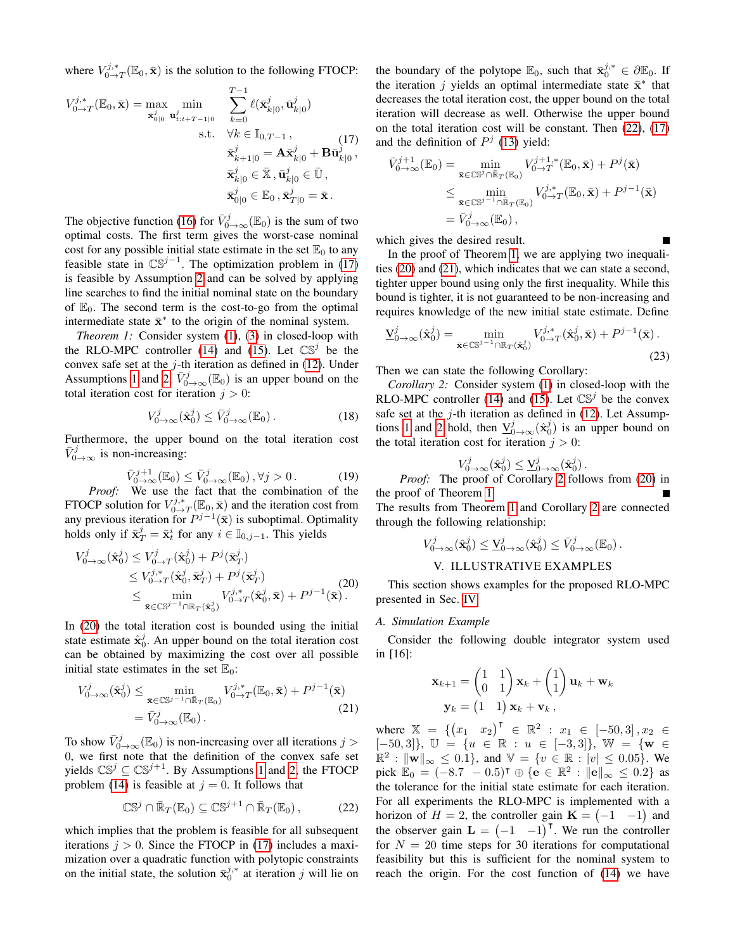where  $V_{0\rightarrow T}^{j,*}(\mathbb{E}_0, \bar{\mathbf{x}})$  is the solution to the following FTOCP:

$$
V_{0\to T}^{j,*}(\mathbb{E}_0, \bar{\mathbf{x}}) = \max_{\bar{\mathbf{x}}_{0|0}^j} \min_{\bar{\mathbf{u}}_{t:t+T-1|0}^j} \sum_{k=0}^{T-1} \ell(\bar{\mathbf{x}}_{k|0}^j, \bar{\mathbf{u}}_{k|0}^j)
$$
  
s.t.  $\forall k \in \mathbb{I}_{0,T-1}$ , (17)  

$$
\bar{\mathbf{x}}_{k+1|0}^j = \mathbf{A}\bar{\mathbf{x}}_{k|0}^j + \mathbf{B}\bar{\mathbf{u}}_{k|0}^j,
$$

$$
\bar{\mathbf{x}}_{k|0}^j \in \bar{\mathbb{X}}, \bar{\mathbf{u}}_{k|0}^j \in \bar{\mathbb{U}},
$$

$$
\bar{\mathbf{x}}_{0|0}^j \in \mathbb{E}_0, \bar{\mathbf{x}}_{T|0}^j = \bar{\mathbf{x}}.
$$

The objective function [\(16\)](#page-3-6) for  $\bar{V}_{0\to\infty}^j(\mathbb{E}_0)$  is the sum of two optimal costs. The first term gives the worst-case nominal cost for any possible initial state estimate in the set  $\mathbb{E}_0$  to any feasible state in  $\mathbb{CS}^{j-1}$ . The optimization problem in [\(17\)](#page-4-1) is feasible by Assumption [2](#page-3-5) and can be solved by applying line searches to find the initial nominal state on the boundary of  $\mathbb{E}_0$ . The second term is the cost-to-go from the optimal intermediate state  $\bar{x}^*$  to the origin of the nominal system.

*Theorem 1:* Consider system [\(1\)](#page-1-0), [\(3\)](#page-1-6) in closed-loop with the RLO-MPC controller [\(14\)](#page-3-2) and [\(15\)](#page-3-4). Let  $\mathbb{CS}^j$  be the convex safe set at the  $j$ -th iteration as defined in [\(12\)](#page-2-4). Under Assumptions [1](#page-3-3) and [2,](#page-3-5)  $\bar{V}_{0\to\infty}^{j}(\mathbb{E}_0)$  is an upper bound on the total iteration cost for iteration  $j > 0$ :

$$
V_{0\to\infty}^j(\hat{\mathbf{x}}_0^j) \le \bar{V}_{0\to\infty}^j(\mathbb{E}_0).
$$
 (18)

Furthermore, the upper bound on the total iteration cost  $\bar{V}_{0\rightarrow\infty}^{j}$  is non-increasing:

$$
\bar{V}_{0\to\infty}^{j+1}(\mathbb{E}_0) \le \bar{V}_{0\to\infty}^j(\mathbb{E}_0), \forall j > 0.
$$
 (19)

*Proof:* We use the fact that the combination of the FTOCP solution for  $V_{0\to T}^{j,*}(\mathbb{E}_0, \bar{\mathbf{x}})$  and the iteration cost from any previous iteration for  $P^{j-1}(\bar{x})$  is suboptimal. Optimality holds only if  $\bar{\mathbf{x}}_T^j = \bar{\mathbf{x}}_t^i$  for any  $i \in \mathbb{I}_{0,j-1}$ . This yields

$$
V_{0\to\infty}^{j}(\hat{\mathbf{x}}_{0}^{j}) \leq V_{0\to T}^{j}(\hat{\mathbf{x}}_{0}^{j}) + P^{j}(\bar{\mathbf{x}}_{T}^{j})
$$
  
\n
$$
\leq V_{0\to T}^{j,*}(\hat{\mathbf{x}}_{0}^{j}, \bar{\mathbf{x}}_{T}^{j}) + P^{j}(\bar{\mathbf{x}}_{T}^{j})
$$
  
\n
$$
\leq \min_{\bar{\mathbf{x}} \in \mathbb{CS}^{j-1} \cap \mathbb{R}_{T}(\hat{\mathbf{x}}_{0}^{j})} V_{0\to T}^{j,*}(\hat{\mathbf{x}}_{0}^{j}, \bar{\mathbf{x}}) + P^{j-1}(\bar{\mathbf{x}}).
$$
\n(20)

In [\(20\)](#page-4-2) the total iteration cost is bounded using the initial state estimate  $\hat{x}_0^j$ . An upper bound on the total iteration cost can be obtained by maximizing the cost over all possible initial state estimates in the set  $\mathbb{E}_0$ :

$$
V_{0\to\infty}^j(\hat{\mathbf{x}}_0^j) \le \min_{\bar{\mathbf{x}} \in \mathbb{CS}^{j-1} \cap \bar{\mathbb{R}}_T(\mathbb{E}_0)} V_{0\to T}^{j,*}(\mathbb{E}_0, \bar{\mathbf{x}}) + P^{j-1}(\bar{\mathbf{x}})
$$
  
=  $\bar{V}_{0\to\infty}^j(\mathbb{E}_0).$  (21)

To show  $\bar{V}_{0\to\infty}^{j}(\mathbb{E}_0)$  is non-increasing over all iterations  $j >$ 0, we first note that the definition of the convex safe set yields  $\mathbb{CS}^j \subseteq \mathbb{CS}^{j+1}$ . By Assumptions [1](#page-3-3) and [2,](#page-3-5) the FTOCP problem [\(14\)](#page-3-2) is feasible at  $j = 0$ . It follows that

<span id="page-4-3"></span>
$$
\mathbb{CS}^j \cap \bar{\mathbb{R}}_T(\mathbb{E}_0) \subseteq \mathbb{CS}^{j+1} \cap \bar{\mathbb{R}}_T(\mathbb{E}_0), \tag{22}
$$

which implies that the problem is feasible for all subsequent iterations  $j > 0$ . Since the FTOCP in [\(17\)](#page-4-1) includes a maximization over a quadratic function with polytopic constraints on the initial state, the solution  $\bar{\mathbf{x}}_0^{j,*}$  at iteration j will lie on

the boundary of the polytope  $\mathbb{E}_0$ , such that  $\bar{\mathbf{x}}_0^{j,*} \in \partial \mathbb{E}_0$ . If the iteration j yields an optimal intermediate state  $\bar{x}^*$  that decreases the total iteration cost, the upper bound on the total iteration will decrease as well. Otherwise the upper bound on the total iteration cost will be constant. Then [\(22\)](#page-4-3), [\(17\)](#page-4-1) and the definition of  $P<sup>j</sup>$  [\(13\)](#page-2-5) yield:

<span id="page-4-1"></span>
$$
\bar{V}_{0 \to \infty}^{j+1}(\mathbb{E}_0) = \min_{\bar{\mathbf{x}} \in \mathbb{CS}^j \cap \bar{\mathbb{R}}_T(\mathbb{E}_0)} V_{0 \to T}^{j+1,*}(\mathbb{E}_0, \bar{\mathbf{x}}) + P^j(\bar{\mathbf{x}})
$$
\n
$$
\leq \min_{\bar{\mathbf{x}} \in \mathbb{CS}^{j-1} \cap \bar{\mathbb{R}}_T(\mathbb{E}_0)} V_{0 \to T}^{j,*}(\mathbb{E}_0, \bar{\mathbf{x}}) + P^{j-1}(\bar{\mathbf{x}})
$$
\n
$$
= \bar{V}_{0 \to \infty}^{j}(\mathbb{E}_0),
$$

which gives the desired result.

In the proof of Theorem [1,](#page-4-4) we are applying two inequalities [\(20\)](#page-4-2) and [\(21\)](#page-4-5), which indicates that we can state a second, tighter upper bound using only the first inequality. While this bound is tighter, it is not guaranteed to be non-increasing and requires knowledge of the new initial state estimate. Define

<span id="page-4-7"></span><span id="page-4-4"></span>
$$
\underline{\mathbf{V}}_{0\to\infty}^{j}(\hat{\mathbf{x}}_{0}^{j}) = \min_{\bar{\mathbf{x}} \in \mathbb{CS}^{j-1} \cap \mathbb{R}_{T}(\hat{\mathbf{x}}_{0}^{j})} V_{0\to T}^{j,*}(\hat{\mathbf{x}}_{0}^{j}, \bar{\mathbf{x}}) + P^{j-1}(\bar{\mathbf{x}}).
$$
\n(23)

Then we can state the following Corollary:

*Corollary 2:* Consider system [\(1\)](#page-1-0) in closed-loop with the RLO-MPC controller [\(14\)](#page-3-2) and [\(15\)](#page-3-4). Let  $\mathbb{CS}^j$  be the convex safe set at the  $j$ -th iteration as defined in [\(12\)](#page-2-4). Let Assump-tions [1](#page-3-3) and [2](#page-3-5) hold, then  $\underline{V}_{0\to\infty}^j(\hat{x}_0^j)$  is an upper bound on the total iteration cost for iteration  $j > 0$ :

<span id="page-4-6"></span>
$$
V^j_{0\to\infty}(\hat{\mathbf{x}}_0^j) \leq \underline{\mathbf{V}}_{0\to\infty}^j(\hat{\mathbf{x}}_0^j).
$$

*Proof:* The proof of Corollary [2](#page-4-6) follows from [\(20\)](#page-4-2) in the proof of Theorem [1.](#page-4-4) The results from Theorem [1](#page-4-4) and Corollary [2](#page-4-6) are connected through the following relationship:

$$
V^j_{0\to\infty}(\hat{\mathbf{x}}^j_0) \leq \underline{V}^j_{0\to\infty}(\hat{\mathbf{x}}^j_0) \leq \bar{V}^j_{0\to\infty}(\mathbb{E}_0).
$$

# V. ILLUSTRATIVE EXAMPLES

<span id="page-4-2"></span><span id="page-4-0"></span>This section shows examples for the proposed RLO-MPC presented in Sec. [IV.](#page-3-7)

#### *A. Simulation Example*

Consider the following double integrator system used in [16]:

$$
\mathbf{x}_{k+1} = \begin{pmatrix} 1 & 1 \\ 0 & 1 \end{pmatrix} \mathbf{x}_k + \begin{pmatrix} 1 \\ 1 \end{pmatrix} \mathbf{u}_k + \mathbf{w}_k
$$

$$
\mathbf{y}_k = \begin{pmatrix} 1 & 1 \end{pmatrix} \mathbf{x}_k + \mathbf{v}_k ,
$$

<span id="page-4-5"></span>where  $\mathbb{X} = \{ (x_1 \ x_2)^\top \in \mathbb{R}^2 : x_1 \in [-50, 3], x_2 \in$  $[-50, 3]$ ,  $\mathbb{U} = \{u \in \mathbb{R} : u \in [-3, 3]\}, \mathbb{W} = \{\mathbf{w} \in$  $\mathbb{R}^2 : \|\mathbf{w}\|_{\infty} \le 0.1$ , and  $\mathbb{V} = \{v \in \mathbb{R} : |v| \le 0.05\}$ . We pick  $\mathbb{E}_0 = (-8.7 - 0.5)^{\dagger} \oplus {\mathbf{e}} \in \mathbb{R}^2 : ||\mathbf{e}||_{\infty} \le 0.2$  as the tolerance for the initial state estimate for each iteration. For all experiments the RLO-MPC is implemented with a horizon of  $H = 2$ , the controller gain  $\mathbf{K} = \begin{pmatrix} -1 & -1 \end{pmatrix}$  and the observer gain  $\mathbf{L} = (-1 \quad -1)^T$ . We run the controller for  $N = 20$  time steps for 30 iterations for computational feasibility but this is sufficient for the nominal system to reach the origin. For the cost function of [\(14\)](#page-3-2) we have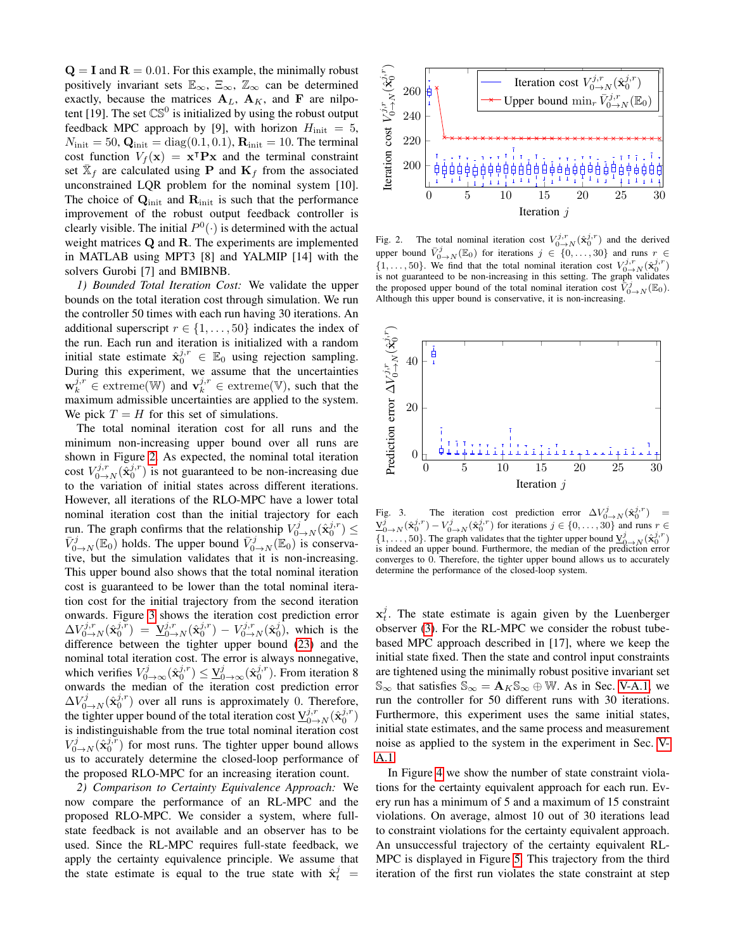$Q = I$  and  $R = 0.01$ . For this example, the minimally robust positively invariant sets  $\mathbb{E}_{\infty}$ ,  $\mathbb{E}_{\infty}$ ,  $\mathbb{Z}_{\infty}$  can be determined exactly, because the matrices  $A_L$ ,  $A_K$ , and F are nilpotent [19]. The set  $\mathbb{CS}^0$  is initialized by using the robust output feedback MPC approach by [9], with horizon  $H_{\text{init}} = 5$ ,  $N_{\text{init}} = 50$ ,  $\mathbf{Q}_{\text{init}} = \text{diag}(0.1, 0.1)$ ,  $\mathbf{R}_{\text{init}} = 10$ . The terminal cost function  $V_f(\mathbf{x}) = \mathbf{x}^\intercal \mathbf{P} \mathbf{x}$  and the terminal constraint set  $\bar{\mathbb{X}}_f$  are calculated using **P** and  $\mathbf{K}_f$  from the associated unconstrained LQR problem for the nominal system [10]. The choice of  $Q<sub>init</sub>$  and  $R<sub>init</sub>$  is such that the performance improvement of the robust output feedback controller is clearly visible. The initial  $P^0(\cdot)$  is determined with the actual weight matrices Q and R. The experiments are implemented in MATLAB using MPT3 [8] and YALMIP [14] with the solvers Gurobi [7] and BMIBNB.

<span id="page-5-2"></span>*1) Bounded Total Iteration Cost:* We validate the upper bounds on the total iteration cost through simulation. We run the controller 50 times with each run having 30 iterations. An additional superscript  $r \in \{1, \ldots, 50\}$  indicates the index of the run. Each run and iteration is initialized with a random initial state estimate  $\hat{\mathbf{x}}_0^{j,r} \in \mathbb{E}_0$  using rejection sampling. During this experiment, we assume that the uncertainties  $\mathbf{w}_k^{j,r} \in \text{extreme}(\mathbb{W})$  and  $\mathbf{v}_k^{j,r} \in \text{extreme}(\mathbb{V})$ , such that the maximum admissible uncertainties are applied to the system. We pick  $T = H$  for this set of simulations.

The total nominal iteration cost for all runs and the minimum non-increasing upper bound over all runs are shown in Figure [2.](#page-5-0) As expected, the nominal total iteration cost  $V_{0\rightarrow N}^{j,r}(\tilde{\mathbf{x}}_0^{j,r})$  is not guaranteed to be non-increasing due to the variation of initial states across different iterations. However, all iterations of the RLO-MPC have a lower total nominal iteration cost than the initial trajectory for each run. The graph confirms that the relationship  $V^j_{0\to N}(\hat{\mathbf{x}}_0^{j,r}) \leq$  $\bar{V}_{0\rightarrow N}^{j}(\mathbb{E}_{0})$  holds. The upper bound  $\bar{V}_{0\rightarrow N}^{j}(\mathbb{E}_{0})$  is conservative, but the simulation validates that it is non-increasing. This upper bound also shows that the total nominal iteration cost is guaranteed to be lower than the total nominal iteration cost for the initial trajectory from the second iteration onwards. Figure [3](#page-5-1) shows the iteration cost prediction error  $\Delta V_{0\to N}^{j,r}(\hat{\mathbf{x}}_0^{j,r}) \;=\; \underline{\mathbf{V}}_{0\to N}^{j,r}(\hat{\mathbf{x}}_0^{j,r}) \,-\, V_{0\to N}^{j,r}(\hat{\mathbf{x}}_0^{j}),$  which is the difference between the tighter upper bound [\(23\)](#page-4-7) and the nominal total iteration cost. The error is always nonnegative, which verifies  $V^j_{0\to\infty}(\hat{\mathbf{x}}_0^{j,r}) \leq \underline{V}^j_{0\to\infty}(\hat{\mathbf{x}}_0^{j,r})$ . From iteration 8 onwards the median of the iteration cost prediction error  $\Delta V_{0\rightarrow N}^{j}(\hat{\mathbf{x}}_{0}^{j,r})$  over all runs is approximately 0. Therefore, the tighter upper bound of the total iteration cost  $\underline{V}_{0\to N}^{j,r}(\hat{x}_0^{j,r})$ is indistinguishable from the true total nominal iteration cost  $V^j_{0\to N}(\hat{\mathbf{x}}_0^{j,r})$  for most runs. The tighter upper bound allows us to accurately determine the closed-loop performance of the proposed RLO-MPC for an increasing iteration count.

*2) Comparison to Certainty Equivalence Approach:* We now compare the performance of an RL-MPC and the proposed RLO-MPC. We consider a system, where fullstate feedback is not available and an observer has to be used. Since the RL-MPC requires full-state feedback, we apply the certainty equivalence principle. We assume that the state estimate is equal to the true state with  $\hat{x}_t^j$  =



<span id="page-5-0"></span>Fig. 2. The total nominal iteration cost  $V_{0\rightarrow N}^{j,r}(\hat{\mathbf{x}}_0^{j,r})$  and the derived upper bound  $\bar{V}_{0\rightarrow N}^{j}(\mathbb{E}_0)$  for iterations  $j \in \{0,\ldots,30\}$  and runs  $r \in$  $\{1,\ldots,50\}$ . We find that the total nominal iteration cost  $V_{0\to N}^{j,r}(\hat{\mathbf{x}}_0^{j,r})$ is not guaranteed to be non-increasing in this setting. The graph validates the proposed upper bound of the total nominal iteration cost  $\overline{\tilde{V}}_{0\rightarrow N}^{j}(\mathbb{E}_{0})$ . Although this upper bound is conservative, it is non-increasing.



<span id="page-5-1"></span>Fig. 3. The iteration cost prediction error  $\Delta V^j_{0\rightarrow N}(\hat{\mathbf{x}}_0^{j,r})$  =  $\underline{V}_{0\to N}^j(\hat{\mathbf{x}}_0^{j,r})-V_{0\to N}^j(\hat{\mathbf{x}}_0^{j,r})$  for iterations  $j\in\{0,\ldots,30\}$  and runs  $r\in$  $\{1, \ldots, 50\}$ . The graph validates that the tighter upper bound  $\underline{V}_{0\to N}^j(\hat{\mathbf{x}}_0^{j,r})$ is indeed an upper bound. Furthermore, the median of the prediction error converges to 0. Therefore, the tighter upper bound allows us to accurately determine the performance of the closed-loop system.

 $x_t^j$ . The state estimate is again given by the Luenberger observer [\(3\)](#page-1-6). For the RL-MPC we consider the robust tubebased MPC approach described in [17], where we keep the initial state fixed. Then the state and control input constraints are tightened using the minimally robust positive invariant set  $\mathbb{S}_{\infty}$  that satisfies  $\mathbb{S}_{\infty} = \mathbf{A}_K \mathbb{S}_{\infty} \oplus \mathbb{W}$ . As in Sec. [V-A.1,](#page-5-2) we run the controller for 50 different runs with 30 iterations. Furthermore, this experiment uses the same initial states, initial state estimates, and the same process and measurement noise as applied to the system in the experiment in Sec. [V-](#page-5-2)[A.1.](#page-5-2)

In Figure [4](#page-6-0) we show the number of state constraint violations for the certainty equivalent approach for each run. Every run has a minimum of 5 and a maximum of 15 constraint violations. On average, almost 10 out of 30 iterations lead to constraint violations for the certainty equivalent approach. An unsuccessful trajectory of the certainty equivalent RL-MPC is displayed in Figure [5.](#page-6-1) This trajectory from the third iteration of the first run violates the state constraint at step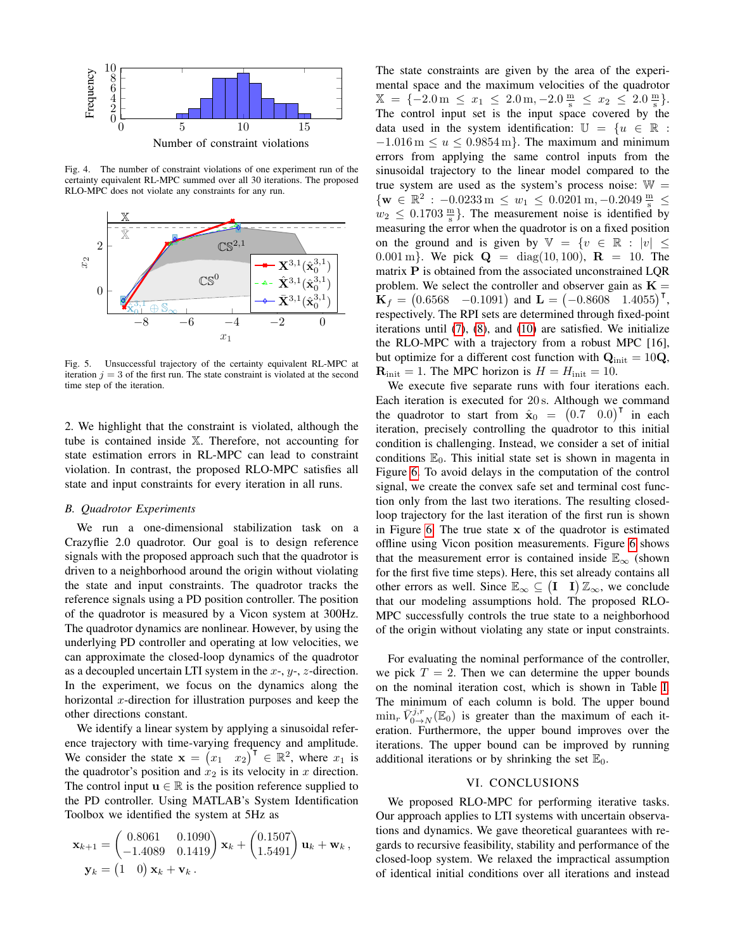

<span id="page-6-0"></span>Fig. 4. The number of constraint violations of one experiment run of the certainty equivalent RL-MPC summed over all 30 iterations. The proposed RLO-MPC does not violate any constraints for any run.



<span id="page-6-1"></span>Fig. 5. Unsuccessful trajectory of the certainty equivalent RL-MPC at iteration  $j = 3$  of the first run. The state constraint is violated at the second time step of the iteration.

2. We highlight that the constraint is violated, although the tube is contained inside X. Therefore, not accounting for state estimation errors in RL-MPC can lead to constraint violation. In contrast, the proposed RLO-MPC satisfies all state and input constraints for every iteration in all runs.

#### *B. Quadrotor Experiments*

We run a one-dimensional stabilization task on a Crazyflie 2.0 quadrotor. Our goal is to design reference signals with the proposed approach such that the quadrotor is driven to a neighborhood around the origin without violating the state and input constraints. The quadrotor tracks the reference signals using a PD position controller. The position of the quadrotor is measured by a Vicon system at 300Hz. The quadrotor dynamics are nonlinear. However, by using the underlying PD controller and operating at low velocities, we can approximate the closed-loop dynamics of the quadrotor as a decoupled uncertain LTI system in the  $x$ -,  $y$ -,  $z$ -direction. In the experiment, we focus on the dynamics along the horizontal  $x$ -direction for illustration purposes and keep the other directions constant.

We identify a linear system by applying a sinusoidal reference trajectory with time-varying frequency and amplitude. We consider the state  $\mathbf{x} = (x_1, x_2)^\top \in \mathbb{R}^2$ , where  $x_1$  is the quadrotor's position and  $x_2$  is its velocity in x direction. The control input  $\mathbf{u} \in \mathbb{R}$  is the position reference supplied to the PD controller. Using MATLAB's System Identification Toolbox we identified the system at 5Hz as

$$
\mathbf{x}_{k+1} = \begin{pmatrix} 0.8061 & 0.1090 \\ -1.4089 & 0.1419 \end{pmatrix} \mathbf{x}_k + \begin{pmatrix} 0.1507 \\ 1.5491 \end{pmatrix} \mathbf{u}_k + \mathbf{w}_k,
$$
  

$$
\mathbf{y}_k = \begin{pmatrix} 1 & 0 \end{pmatrix} \mathbf{x}_k + \mathbf{v}_k.
$$

The state constraints are given by the area of the experimental space and the maximum velocities of the quadrotor  $\mathbb{X} = \{-2.0 \,\mathrm{m} \leq x_1 \leq 2.0 \,\mathrm{m}, -2.0 \,\frac{\mathrm{m}}{\mathrm{s}} \leq x_2 \leq 2.0 \,\frac{\mathrm{m}}{\mathrm{s}}\}.$ The control input set is the input space covered by the data used in the system identification:  $\mathbb{U} = \{u \in \mathbb{R} :$  $-1.016$  m  $\leq u \leq 0.9854$  m}. The maximum and minimum errors from applying the same control inputs from the sinusoidal trajectory to the linear model compared to the true system are used as the system's process noise:  $W =$  $\{w \in \mathbb{R}^2 : -0.0233 \,\mathrm{m} \leq w_1 \leq 0.0201 \,\mathrm{m}, -0.2049 \,\frac{\mathrm{m}}{\mathrm{s}} \leq$  $w_2 \leq 0.1703 \frac{\text{m}}{\text{s}}$ . The measurement noise is identified by measuring the error when the quadrotor is on a fixed position on the ground and is given by  $\mathbb{V} = \{v \in \mathbb{R} : |v| \leq$ 0.001 m}. We pick  $Q = diag(10, 100)$ ,  $R = 10$ . The matrix P is obtained from the associated unconstrained LQR problem. We select the controller and observer gain as  $K =$  $K_f = (0.6568 \text{ } -0.1091)$  and  $L = (-0.8608 \text{ } 1.4055)^T$ , respectively. The RPI sets are determined through fixed-point iterations until [\(7\)](#page-1-3), [\(8\)](#page-2-0), and [\(10\)](#page-2-2) are satisfied. We initialize the RLO-MPC with a trajectory from a robust MPC [16], but optimize for a different cost function with  $Q<sub>init</sub> = 10Q$ ,  $\mathbf{R}_{\text{init}} = 1$ . The MPC horizon is  $H = H_{\text{init}} = 10$ .

We execute five separate runs with four iterations each. Each iteration is executed for 20 s. Although we command the quadrotor to start from  $\hat{\mathbf{x}}_0 = (0.7 \ 0.0)^T$  in each iteration, precisely controlling the quadrotor to this initial condition is challenging. Instead, we consider a set of initial conditions  $\mathbb{E}_0$ . This initial state set is shown in magenta in Figure [6.](#page-7-0) To avoid delays in the computation of the control signal, we create the convex safe set and terminal cost function only from the last two iterations. The resulting closedloop trajectory for the last iteration of the first run is shown in Figure [6.](#page-7-0) The true state  $x$  of the quadrotor is estimated offline using Vicon position measurements. Figure [6](#page-7-0) shows that the measurement error is contained inside  $\mathbb{E}_{\infty}$  (shown for the first five time steps). Here, this set already contains all other errors as well. Since  $\mathbb{E}_{\infty} \subseteq (\mathbf{I} \quad \mathbf{I}) \mathbb{Z}_{\infty}$ , we conclude that our modeling assumptions hold. The proposed RLO-MPC successfully controls the true state to a neighborhood of the origin without violating any state or input constraints.

For evaluating the nominal performance of the controller, we pick  $T = 2$ . Then we can determine the upper bounds on the nominal iteration cost, which is shown in Table [I.](#page-7-1) The minimum of each column is bold. The upper bound  $\min_r \overline{V}_{0\to N}^{j,r}(\mathbb{E}_0)$  is greater than the maximum of each iteration. Furthermore, the upper bound improves over the iterations. The upper bound can be improved by running additional iterations or by shrinking the set  $\mathbb{E}_0$ .

## VI. CONCLUSIONS

We proposed RLO-MPC for performing iterative tasks. Our approach applies to LTI systems with uncertain observations and dynamics. We gave theoretical guarantees with regards to recursive feasibility, stability and performance of the closed-loop system. We relaxed the impractical assumption of identical initial conditions over all iterations and instead